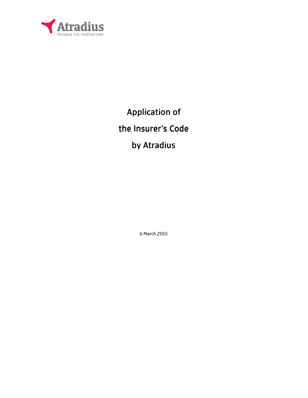

Application of

# the Insurer's Code

# by Atradius

6 March 2015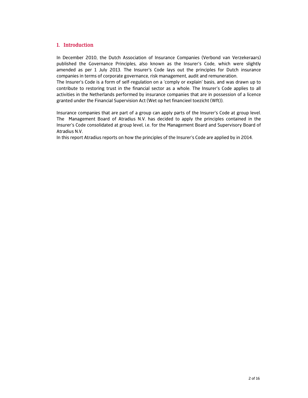#### 1. Introduction

In December 2010, the Dutch Association of Insurance Companies (Verbond van Verzekeraars) published the Governance Principles, also known as the Insurer's Code, which were slightly amended as per 1 July 2013. The Insurer's Code lays out the principles for Dutch insurance companies in terms of corporate governance, risk management, audit and remuneration.

The Insurer's Code is a form of self-regulation on a 'comply or explain' basis, and was drawn up to contribute to restoring trust in the financial sector as a whole. The Insurer's Code applies to all activities in the Netherlands performed by insurance companies that are in possession of a licence granted under the Financial Supervision Act (Wet op het financieel toezicht (Wft)).

Insurance companies that are part of a group can apply parts of the Insurer's Code at group level. The Management Board of Atradius N.V. has decided to apply the principles contained in the Insurer's Code consolidated at group level, i.e. for the Management Board and Supervisory Board of Atradius N.V.

In this report Atradius reports on how the principles of the Insurer's Code are applied by in 2014.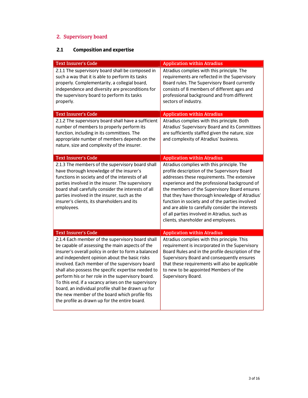# 2. Supervisory board

## **2.1 Composition and expertise**

| <b>Text Insurer's Code</b>                                                                                                                                                                                                                                                                                                                                                                                                                                                                                                                                                                 | <b>Application within Atradius</b>                                                                                                                                                                                                                                                                                                                                                                                                                                                         |
|--------------------------------------------------------------------------------------------------------------------------------------------------------------------------------------------------------------------------------------------------------------------------------------------------------------------------------------------------------------------------------------------------------------------------------------------------------------------------------------------------------------------------------------------------------------------------------------------|--------------------------------------------------------------------------------------------------------------------------------------------------------------------------------------------------------------------------------------------------------------------------------------------------------------------------------------------------------------------------------------------------------------------------------------------------------------------------------------------|
| 2.1.1 The supervisory board shall be composed in<br>such a way that it is able to perform its tasks<br>properly. Complementarity, a collegial board,<br>independence and diversity are preconditions for<br>the supervisory board to perform its tasks<br>properly.                                                                                                                                                                                                                                                                                                                        | Atradius complies with this principle. The<br>requirements are reflected in the Supervisory<br>Board rules. The Supervisory Board currently<br>consists of 8 members of different ages and<br>professional background and from different<br>sectors of industry.                                                                                                                                                                                                                           |
| <b>Text Insurer's Code</b>                                                                                                                                                                                                                                                                                                                                                                                                                                                                                                                                                                 | <b>Application within Atradius</b>                                                                                                                                                                                                                                                                                                                                                                                                                                                         |
| 2.1.2 The supervisory board shall have a sufficient<br>number of members to properly perform its<br>function, including in its committees. The<br>appropriate number of members depends on the<br>nature, size and complexity of the insurer.                                                                                                                                                                                                                                                                                                                                              | Atradius complies with this principle. Both<br>Atradius' Supervisory Board and its Committees<br>are sufficiently staffed given the nature, size<br>and complexity of Atradius' business.                                                                                                                                                                                                                                                                                                  |
| <b>Text Insurer's Code</b>                                                                                                                                                                                                                                                                                                                                                                                                                                                                                                                                                                 | <b>Application within Atradius</b>                                                                                                                                                                                                                                                                                                                                                                                                                                                         |
| 2.1.3 The members of the supervisory board shall<br>have thorough knowledge of the insurer's<br>functions in society and of the interests of all<br>parties involved in the insurer. The supervisory<br>board shall carefully consider the interests of all<br>parties involved in the insurer, such as the<br>insurer's clients, its shareholders and its<br>employees.                                                                                                                                                                                                                   | Atradius complies with this principle. The<br>profile description of the Supervisory Board<br>addresses these requirements. The extensive<br>experience and the professional background of<br>the members of the Supervisory Board ensures<br>that they have thorough knowledge of Atradius'<br>function in society and of the parties involved<br>and are able to carefully consider the interests<br>of all parties involved in Atradius, such as<br>clients, shareholder and employees. |
| <b>Text Insurer's Code</b>                                                                                                                                                                                                                                                                                                                                                                                                                                                                                                                                                                 | <b>Application within Atradius</b>                                                                                                                                                                                                                                                                                                                                                                                                                                                         |
| 2.1.4 Each member of the supervisory board shall<br>be capable of assessing the main aspects of the<br>insurer's overall policy in order to form a balanced<br>and independent opinion about the basic risks<br>involved. Each member of the supervisory board<br>shall also possess the specific expertise needed to<br>perform his or her role in the supervisory board.<br>To this end, if a vacancy arises on the supervisory<br>board, an individual profile shall be drawn up for<br>the new member of the board which profile fits<br>the profile as drawn up for the entire board. | Atradius complies with this principle. This<br>requirement is incorporated in the Supervisory<br>Board Rules and in the profile description of the<br>Supervisory Board and consequently ensures<br>that these requirements will also be applicable<br>to new to be appointed Members of the<br>Supervisory Board.                                                                                                                                                                         |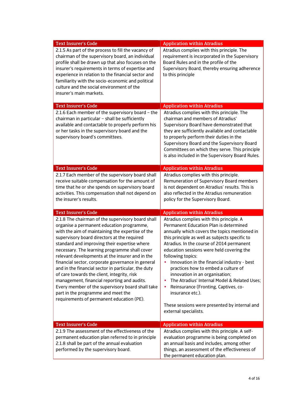| <b>Text Insurer's Code</b>                                                                                                                                                                                                                                                                                                                                                                                                                                                                                                                                                                                                                                                                             | <b>Application within Atradius</b>                                                                                                                                                                                                                                                                                                                                                                                                                                                                                                                                                                                              |
|--------------------------------------------------------------------------------------------------------------------------------------------------------------------------------------------------------------------------------------------------------------------------------------------------------------------------------------------------------------------------------------------------------------------------------------------------------------------------------------------------------------------------------------------------------------------------------------------------------------------------------------------------------------------------------------------------------|---------------------------------------------------------------------------------------------------------------------------------------------------------------------------------------------------------------------------------------------------------------------------------------------------------------------------------------------------------------------------------------------------------------------------------------------------------------------------------------------------------------------------------------------------------------------------------------------------------------------------------|
| 2.1.5 As part of the process to fill the vacancy of<br>chairman of the supervisory board, an individual<br>profile shall be drawn up that also focuses on the<br>insurer's requirements in terms of expertise and<br>experience in relation to the financial sector and<br>familiarity with the socio-economic and political<br>culture and the social environment of the<br>insurer's main markets.                                                                                                                                                                                                                                                                                                   | Atradius complies with this principle. The<br>requirement is incorporated in the Supervisory<br>Board Rules and in the profile of the<br>Supervisory Board, thereby ensuring adherence<br>to this principle                                                                                                                                                                                                                                                                                                                                                                                                                     |
| <b>Text Insurer's Code</b>                                                                                                                                                                                                                                                                                                                                                                                                                                                                                                                                                                                                                                                                             | <b>Application within Atradius</b>                                                                                                                                                                                                                                                                                                                                                                                                                                                                                                                                                                                              |
| 2.1.6 Each member of the supervisory board - the<br>chairman in particular - shall be sufficiently<br>available and contactable to properly perform his<br>or her tasks in the supervisory board and the<br>supervisory board's committees.                                                                                                                                                                                                                                                                                                                                                                                                                                                            | Atradius complies with this principle. The<br>chairman and members of Atradius'<br>Supervisory Board have demonstrated that<br>they are sufficiently available and contactable<br>to properly perform their duties in the<br>Supervisory Board and the Supervisory Board<br>Committees on which they serve. This principle<br>is also included in the Supervisory Board Rules.                                                                                                                                                                                                                                                  |
| <b>Text Insurer's Code</b>                                                                                                                                                                                                                                                                                                                                                                                                                                                                                                                                                                                                                                                                             | <b>Application within Atradius</b>                                                                                                                                                                                                                                                                                                                                                                                                                                                                                                                                                                                              |
| 2.1.7 Each member of the supervisory board shall<br>receive suitable compensation for the amount of<br>time that he or she spends on supervisory board<br>activities. This compensation shall not depend on<br>the insurer's results.                                                                                                                                                                                                                                                                                                                                                                                                                                                                  | Atradius complies with this principle.<br>Remuneration of Supervisory Board members<br>is not dependent on Atradius' results. This is<br>also reflected in the Atradius remuneration<br>policy for the Supervisory Board.                                                                                                                                                                                                                                                                                                                                                                                                       |
| <b>Text Insurer's Code</b>                                                                                                                                                                                                                                                                                                                                                                                                                                                                                                                                                                                                                                                                             | <b>Application within Atradius</b>                                                                                                                                                                                                                                                                                                                                                                                                                                                                                                                                                                                              |
| 2.1.8 The chairman of the supervisory board shall<br>organise a permanent education programme,<br>with the aim of maintaining the expertise of the<br>supervisory board directors at the required<br>standard and improving their expertise where<br>necessary. The learning programme shall cover<br>relevant developments at the insurer and in the<br>financial sector, corporate governance in general<br>and in the financial sector in particular, the duty<br>of care towards the client, integrity, risk<br>management, financial reporting and audits.<br>Every member of the supervisory board shall take<br>part in the programme and meet the<br>requirements of permanent education (PE). | Atradius complies with this principle. A<br>Permanent Education Plan is determined<br>annually which covers the topics mentioned in<br>this principle as well as subjects specific to<br>Atradius. In the course of 2014 permanent<br>education sessions were held covering the<br>following topics:<br>Innovation in the financial industry - best<br>$\bullet$<br>practices how to embed a culture of<br>innovation in an organisation;<br>The Atradius' Internal Model & Related Uses;<br>Reinsurance (Fronting, Captives, co-<br>insurance etc.).<br>These sessions were presented by internal and<br>external specialists. |
| <b>Text Insurer's Code</b>                                                                                                                                                                                                                                                                                                                                                                                                                                                                                                                                                                                                                                                                             | <b>Application within Atradius</b>                                                                                                                                                                                                                                                                                                                                                                                                                                                                                                                                                                                              |
| 2.1.9 The assessment of the effectiveness of the<br>permanent education plan referred to in principle<br>2.1.8 shall be part of the annual evaluation<br>performed by the supervisory board.                                                                                                                                                                                                                                                                                                                                                                                                                                                                                                           | Atradius complies with this principle. A self-<br>evaluation programme is being completed on<br>an annual basis and includes, among other<br>things, an assessment of the effectiveness of<br>the permanent education plan.                                                                                                                                                                                                                                                                                                                                                                                                     |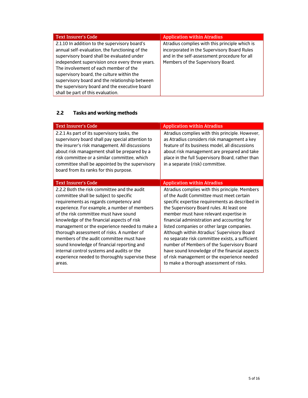| <b>Text Insurer's Code</b>                      | <b>Application within Atradius</b>             |
|-------------------------------------------------|------------------------------------------------|
| 2.1.10 In addition to the supervisory board's   | Atradius complies with this principle which is |
| annual self-evaluation, the functioning of the  | incorporated in the Supervisory Board Rules    |
| supervisory board shall be evaluated under      | and in the self-assessment procedure for all   |
| independent supervision once every three years. | Members of the Supervisory Board.              |
| The involvement of each member of the           |                                                |
| supervisory board, the culture within the       |                                                |
| supervisory board and the relationship between  |                                                |
| the supervisory board and the executive board   |                                                |
| shall be part of this evaluation.               |                                                |

## **2.2 Tasks and working methods**

| <b>Text Insurer's Code</b>                                                                                                                                                                                                                                                                                                                                                                                                                                                                                                                                                | <b>Application within Atradius</b>                                                                                                                                                                                                                                                                                                                                                                                                                                                                                                                                                                                           |
|---------------------------------------------------------------------------------------------------------------------------------------------------------------------------------------------------------------------------------------------------------------------------------------------------------------------------------------------------------------------------------------------------------------------------------------------------------------------------------------------------------------------------------------------------------------------------|------------------------------------------------------------------------------------------------------------------------------------------------------------------------------------------------------------------------------------------------------------------------------------------------------------------------------------------------------------------------------------------------------------------------------------------------------------------------------------------------------------------------------------------------------------------------------------------------------------------------------|
| 2.2.1 As part of its supervisory tasks, the<br>supervisory board shall pay special attention to<br>the insurer's risk management. All discussions<br>about risk management shall be prepared by a<br>risk committee or a similar committee, which<br>committee shall be appointed by the supervisory<br>board from its ranks for this purpose.                                                                                                                                                                                                                            | Atradius complies with this principle. However,<br>as Atradius considers risk management a key<br>feature of its business model, all discussions<br>about risk management are prepared and take<br>place in the full Supervisory Board, rather than<br>in a separate (risk) committee.                                                                                                                                                                                                                                                                                                                                       |
| <b>Text Insurer's Code</b>                                                                                                                                                                                                                                                                                                                                                                                                                                                                                                                                                | <b>Application within Atradius</b>                                                                                                                                                                                                                                                                                                                                                                                                                                                                                                                                                                                           |
| 2.2.2 Both the risk committee and the audit<br>committee shall be subject to specific<br>requirements as regards competency and<br>experience. For example, a number of members<br>of the risk committee must have sound<br>knowledge of the financial aspects of risk<br>management or the experience needed to make a<br>thorough assessment of risks. A number of<br>members of the audit committee must have<br>sound knowledge of financial reporting and<br>internal control systems and audits or the<br>experience needed to thoroughly supervise these<br>areas. | Atradius complies with this principle. Members<br>of the Audit Committee must meet certain<br>specific expertise requirements as described in<br>the Supervisory Board rules. At least one<br>member must have relevant expertise in<br>financial administration and accounting for<br>listed companies or other large companies.<br>Although within Atradius' Supervisory Board<br>no separate risk committee exists, a sufficient<br>number of Members of the Supervisory Board<br>have sound knowledge of the financial aspects<br>of risk management or the experience needed<br>to make a thorough assessment of risks. |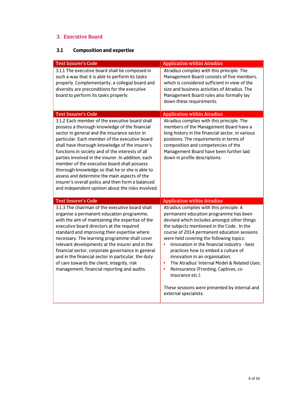### 3. Executive Board

### **3.1 Composition and expertise**

| <b>Text Insurer's Code</b>                                                                                                                                                                                                                                                                                                                                                                                                                                                                                                                                                                                                 | <b>Application within Atradius</b>                                                                                                                                                                                                                                                                                                                                                                                                                                                                                                                    |
|----------------------------------------------------------------------------------------------------------------------------------------------------------------------------------------------------------------------------------------------------------------------------------------------------------------------------------------------------------------------------------------------------------------------------------------------------------------------------------------------------------------------------------------------------------------------------------------------------------------------------|-------------------------------------------------------------------------------------------------------------------------------------------------------------------------------------------------------------------------------------------------------------------------------------------------------------------------------------------------------------------------------------------------------------------------------------------------------------------------------------------------------------------------------------------------------|
| 3.1.1 The executive board shall be composed in<br>such a way that it is able to perform its tasks<br>properly. Complementarity, a collegial board and<br>diversity are preconditions for the executive<br>board to perform its tasks properly.                                                                                                                                                                                                                                                                                                                                                                             | Atradius complies with this principle. The<br>Management Board consists of five members,<br>which is considered sufficient in view of the<br>size and business activities of Atradius. The<br>Management Board rules also formally lay<br>down these requirements.                                                                                                                                                                                                                                                                                    |
| <b>Text Insurer's Code</b>                                                                                                                                                                                                                                                                                                                                                                                                                                                                                                                                                                                                 | <b>Application within Atradius</b>                                                                                                                                                                                                                                                                                                                                                                                                                                                                                                                    |
| 3.1.2 Each member of the executive board shall<br>possess a thorough knowledge of the financial<br>sector in general and the insurance sector in<br>particular. Each member of the executive board<br>shall have thorough knowledge of the insurer's<br>functions in society and of the interests of all<br>parties involved in the insurer. In addition, each<br>member of the executive board shall possess<br>thorough knowledge so that he or she is able to<br>assess and determine the main aspects of the<br>insurer's overall policy and then form a balanced<br>and independent opinion about the risks involved. | Atradius complies with this principle. The<br>members of the Management Board have a<br>long history in the financial sector, in various<br>positions. The requirements in terms of<br>composition and competencies of the<br>Management Board have been further laid<br>down in profile descriptions.                                                                                                                                                                                                                                                |
| <b>Text Insurer's Code</b>                                                                                                                                                                                                                                                                                                                                                                                                                                                                                                                                                                                                 | <b>Application within Atradius</b>                                                                                                                                                                                                                                                                                                                                                                                                                                                                                                                    |
| 3.1.3 The chairman of the executive board shall<br>organise a permanent education programme,<br>with the aim of maintaining the expertise of the<br>executive board directors at the required<br>standard and improving their expertise where<br>necessary. The learning programme shall cover<br>relevant developments at the insurer and in the<br>financial sector, corporate governance in general<br>and in the financial sector in particular, the duty<br>of care towards the client, integrity, risk<br>management, financial reporting and audits.                                                                | Atradius complies with this principle. A<br>permanent education programme has been<br>devised which includes amongst other things<br>the subjects mentioned in the Code. In the<br>course of 2014 permanent education sessions<br>were held covering the following topics:<br>Innovation in the financial industry - best<br>$\bullet$<br>practices how to embed a culture of<br>innovation in an organisation;<br>The Atradius' Internal Model & Related Uses:<br>$\bullet$<br>Reinsurance (Fronting, Captives, co-<br>$\bullet$<br>insurance etc.). |
|                                                                                                                                                                                                                                                                                                                                                                                                                                                                                                                                                                                                                            | These sessions were presented by internal and<br>external specialists.                                                                                                                                                                                                                                                                                                                                                                                                                                                                                |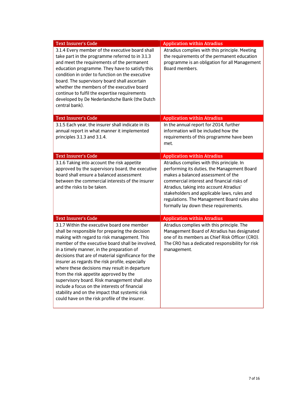| <b>Text Insurer's Code</b>                                                                                                                                                                                                                                                                                                                                                                                                                                                                                                                                                                                                                                | <b>Application within Atradius</b>                                                                                                                                                                                                                                                                                                                              |
|-----------------------------------------------------------------------------------------------------------------------------------------------------------------------------------------------------------------------------------------------------------------------------------------------------------------------------------------------------------------------------------------------------------------------------------------------------------------------------------------------------------------------------------------------------------------------------------------------------------------------------------------------------------|-----------------------------------------------------------------------------------------------------------------------------------------------------------------------------------------------------------------------------------------------------------------------------------------------------------------------------------------------------------------|
| 3.1.4 Every member of the executive board shall<br>take part in the programme referred to in 3.1.3<br>and meet the requirements of the permanent<br>education programme. They have to satisfy this<br>condition in order to function on the executive<br>board. The supervisory board shall ascertain<br>whether the members of the executive board<br>continue to fulfil the expertise requirements<br>developed by De Nederlandsche Bank (the Dutch<br>central bank).                                                                                                                                                                                   | Atradius complies with this principle. Meeting<br>the requirements of the permanent education<br>programme is an obligation for all Management<br>Board members.                                                                                                                                                                                                |
| <b>Text Insurer's Code</b>                                                                                                                                                                                                                                                                                                                                                                                                                                                                                                                                                                                                                                | <b>Application within Atradius</b>                                                                                                                                                                                                                                                                                                                              |
| 3.1.5 Each year, the insurer shall indicate in its<br>annual report in what manner it implemented<br>principles 3.1.3 and 3.1.4.                                                                                                                                                                                                                                                                                                                                                                                                                                                                                                                          | In the annual report for 2014, further<br>information will be included how the<br>requirements of this programme have been<br>met.                                                                                                                                                                                                                              |
| <b>Text Insurer's Code</b>                                                                                                                                                                                                                                                                                                                                                                                                                                                                                                                                                                                                                                | <b>Application within Atradius</b>                                                                                                                                                                                                                                                                                                                              |
| 3.1.6 Taking into account the risk appetite<br>approved by the supervisory board, the executive<br>board shall ensure a balanced assessment<br>between the commercial interests of the insurer<br>and the risks to be taken.                                                                                                                                                                                                                                                                                                                                                                                                                              | Atradius complies with this principle. In<br>performing its duties, the Management Board<br>makes a balanced assessment of the<br>commercial interest and financial risks of<br>Atradius, taking into account Atradius'<br>stakeholders and applicable laws, rules and<br>regulations. The Management Board rules also<br>formally lay down these requirements. |
| <b>Text Insurer's Code</b>                                                                                                                                                                                                                                                                                                                                                                                                                                                                                                                                                                                                                                | <b>Application within Atradius</b>                                                                                                                                                                                                                                                                                                                              |
| 3.1.7 Within the executive board one member<br>shall be responsible for preparing the decision<br>making with regard to risk management. This<br>member of the executive board shall be involved,<br>in a timely manner, in the preparation of<br>decisions that are of material significance for the<br>insurer as regards the risk profile, especially<br>where these decisions may result in departure<br>from the risk appetite approved by the<br>supervisory board. Risk management shall also<br>include a focus on the interests of financial<br>stability and on the impact that systemic risk<br>could have on the risk profile of the insurer. | Atradius complies with this principle. The<br>Management Board of Atradius has designated<br>one of its members as Chief Risk Officer (CRO).<br>The CRO has a dedicated responsibility for risk<br>management.                                                                                                                                                  |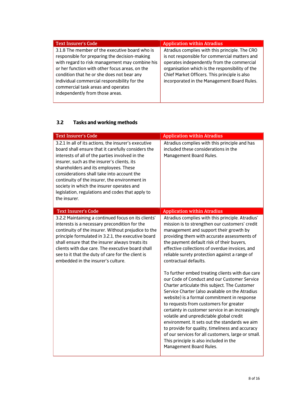| <b>Text Insurer's Code</b>                                                                                                                                                                                                                                                                                                                                                 | <b>Application within Atradius</b>                                                                                                                                                                                                                                                               |
|----------------------------------------------------------------------------------------------------------------------------------------------------------------------------------------------------------------------------------------------------------------------------------------------------------------------------------------------------------------------------|--------------------------------------------------------------------------------------------------------------------------------------------------------------------------------------------------------------------------------------------------------------------------------------------------|
| 3.1.8 The member of the executive board who is<br>responsible for preparing the decision-making<br>with regard to risk management may combine his<br>or her function with other focus areas, on the<br>condition that he or she does not bear any<br>individual commercial responsibility for the<br>commercial task areas and operates<br>independently from those areas. | Atradius complies with this principle. The CRO<br>is not responsible for commercial matters and<br>operates independently from the commercial<br>organisation which is the responsibility of the<br>Chief Market Officers. This principle is also<br>incorporated in the Management Board Rules. |

## **3.2 Tasks and working methods**

| <b>Text Insurer's Code</b>                                                                                                                                                                                                                                                                                                                                                                                                                                            | <b>Application within Atradius</b>                                                                                                                                                                                                                                                                                                                                                                                                                                                                                                                                                                                          |
|-----------------------------------------------------------------------------------------------------------------------------------------------------------------------------------------------------------------------------------------------------------------------------------------------------------------------------------------------------------------------------------------------------------------------------------------------------------------------|-----------------------------------------------------------------------------------------------------------------------------------------------------------------------------------------------------------------------------------------------------------------------------------------------------------------------------------------------------------------------------------------------------------------------------------------------------------------------------------------------------------------------------------------------------------------------------------------------------------------------------|
| 3.2.1 In all of its actions, the insurer's executive<br>board shall ensure that it carefully considers the<br>interests of all of the parties involved in the<br>insurer, such as the insurer's clients, its<br>shareholders and its employees. These<br>considerations shall take into account the<br>continuity of the insurer, the environment in<br>society in which the insurer operates and<br>legislation, regulations and codes that apply to<br>the insurer. | Atradius complies with this principle and has<br>included these considerations in the<br>Management Board Rules.                                                                                                                                                                                                                                                                                                                                                                                                                                                                                                            |
| <b>Text Insurer's Code</b>                                                                                                                                                                                                                                                                                                                                                                                                                                            | <b>Application within Atradius</b>                                                                                                                                                                                                                                                                                                                                                                                                                                                                                                                                                                                          |
| 3.2.2 Maintaining a continued focus on its clients'<br>interests is a necessary precondition for the<br>continuity of the insurer. Without prejudice to the<br>principle formulated in 3.2.1, the executive board<br>shall ensure that the insurer always treats its<br>clients with due care. The executive board shall<br>see to it that the duty of care for the client is<br>embedded in the insurer's culture.                                                   | Atradius complies with this principle. Atradius'<br>mission is to strengthen our customers' credit<br>management and support their growth by<br>providing them with accurate assessments of<br>the payment default risk of their buyers,<br>effective collections of overdue invoices, and<br>reliable surety protection against a range of<br>contractual defaults.                                                                                                                                                                                                                                                        |
|                                                                                                                                                                                                                                                                                                                                                                                                                                                                       | To further embed treating clients with due care<br>our Code of Conduct and our Customer Service<br>Charter articulate this subject. The Customer<br>Service Charter (also available on the Atradius<br>website) is a formal commitment in response<br>to requests from customers for greater<br>certainty in customer service in an increasingly<br>volatile and unpredictable global credit<br>environment. It sets out the standards we aim<br>to provide for quality, timeliness and accuracy<br>of our services for all customers, large or small.<br>This principle is also included in the<br>Management Board Rules. |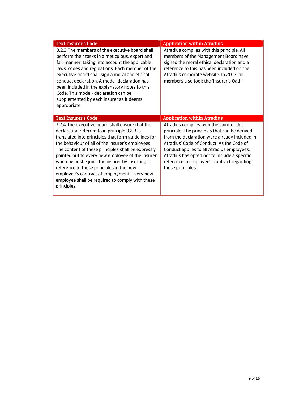| <b>Text Insurer's Code</b>                                                                                                                                                                                                                                                                                                                                                                                                                                                                                                             | <b>Application within Atradius</b>                                                                                                                                                                                                                                                                                                                        |
|----------------------------------------------------------------------------------------------------------------------------------------------------------------------------------------------------------------------------------------------------------------------------------------------------------------------------------------------------------------------------------------------------------------------------------------------------------------------------------------------------------------------------------------|-----------------------------------------------------------------------------------------------------------------------------------------------------------------------------------------------------------------------------------------------------------------------------------------------------------------------------------------------------------|
| 3.2.3 The members of the executive board shall<br>perform their tasks in a meticulous, expert and<br>fair manner, taking into account the applicable<br>laws, codes and regulations. Each member of the<br>executive board shall sign a moral and ethical<br>conduct declaration. A model-declaration has<br>been included in the explanatory notes to this<br>Code. This model- declaration can be<br>supplemented by each insurer as it deems<br>appropriate.                                                                        | Atradius complies with this principle. All<br>members of the Management Board have<br>signed the moral ethical declaration and a<br>reference to this has been included on the<br>Atradius corporate website. In 2013, all<br>members also took the 'Insurer's Oath'.                                                                                     |
| <b>Text Insurer's Code</b>                                                                                                                                                                                                                                                                                                                                                                                                                                                                                                             | <b>Application within Atradius</b>                                                                                                                                                                                                                                                                                                                        |
| 3.2.4 The executive board shall ensure that the<br>declaration referred to in principle 3.2.3 is<br>translated into principles that form guidelines for<br>the behaviour of all of the insurer's employees.<br>The content of these principles shall be expressly<br>pointed out to every new employee of the insurer<br>when he or she joins the insurer by inserting a<br>reference to these principles in the new<br>employee's contract of employment. Every new<br>employee shall be required to comply with these<br>principles. | Atradius complies with the spirit of this<br>principle. The principles that can be derived<br>from the declaration were already included in<br>Atradius' Code of Conduct. As the Code of<br>Conduct applies to all Atradius employees,<br>Atradius has opted not to include a specific<br>reference in employee's contract regarding<br>these principles. |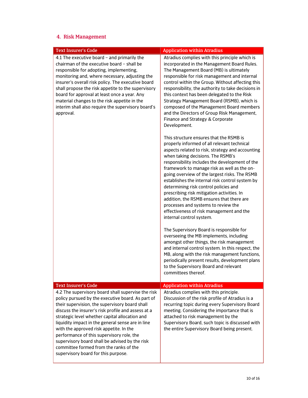## 4. Risk Management

| <b>Text Insurer's Code</b>                                                                                                                                                                                                                                                                                                                                                                                                                                                                                                                        | <b>Application within Atradius</b>                                                                                                                                                                                                                                                                                                                                                                                                                                                                                                                                                                                                      |
|---------------------------------------------------------------------------------------------------------------------------------------------------------------------------------------------------------------------------------------------------------------------------------------------------------------------------------------------------------------------------------------------------------------------------------------------------------------------------------------------------------------------------------------------------|-----------------------------------------------------------------------------------------------------------------------------------------------------------------------------------------------------------------------------------------------------------------------------------------------------------------------------------------------------------------------------------------------------------------------------------------------------------------------------------------------------------------------------------------------------------------------------------------------------------------------------------------|
| 4.1 The executive board - and primarily the<br>chairman of the executive board - shall be<br>responsible for adopting, implementing,<br>monitoring and, where necessary, adjusting the<br>insurer's overall risk policy. The executive board<br>shall propose the risk appetite to the supervisory<br>board for approval at least once a year. Any<br>material changes to the risk appetite in the<br>interim shall also require the supervisory board's<br>approval.                                                                             | Atradius complies with this principle which is<br>incorporated in the Management Board Rules.<br>The Management Board (MB) is ultimately<br>responsible for risk management and internal<br>control within the Group. Without affecting this<br>responsibility, the authority to take decisions in<br>this context has been delegated to the Risk<br>Strategy Management Board (RSMB), which is<br>composed of the Management Board members<br>and the Directors of Group Risk Management,<br>Finance and Strategy & Corporate<br>Development.                                                                                          |
|                                                                                                                                                                                                                                                                                                                                                                                                                                                                                                                                                   | This structure ensures that the RSMB is<br>properly informed of all relevant technical<br>aspects related to risk, strategy and accounting<br>when taking decisions. The RSMB's<br>responsibility includes the development of the<br>framework to manage risk as well as the on-<br>going overview of the largest risks. The RSMB<br>establishes the internal risk control system by<br>determining risk control policies and<br>prescribing risk mitigation activities. In<br>addition, the RSMB ensures that there are<br>processes and systems to review the<br>effectiveness of risk management and the<br>internal control system. |
|                                                                                                                                                                                                                                                                                                                                                                                                                                                                                                                                                   | The Supervisory Board is responsible for<br>overseeing the MB implements, including<br>amongst other things, the risk management<br>and internal control system. In this respect, the<br>MB, along with the risk management functions,<br>periodically present results, development plans<br>to the Supervisory Board and relevant<br>committees thereof.                                                                                                                                                                                                                                                                               |
| <b>Text Insurer's Code</b>                                                                                                                                                                                                                                                                                                                                                                                                                                                                                                                        | <b>Application within Atradius</b>                                                                                                                                                                                                                                                                                                                                                                                                                                                                                                                                                                                                      |
| 4.2 The supervisory board shall supervise the risk<br>policy pursued by the executive board. As part of<br>their supervision, the supervisory board shall<br>discuss the insurer's risk profile and assess at a<br>strategic level whether capital allocation and<br>liquidity impact in the general sense are in line<br>with the approved risk appetite. In the<br>performance of this supervisory role, the<br>supervisory board shall be advised by the risk<br>committee formed from the ranks of the<br>supervisory board for this purpose. | Atradius complies with this principle.<br>Discussion of the risk profile of Atradius is a<br>recurring topic during every Supervisory Board<br>meeting. Considering the importance that is<br>attached to risk management by the<br>Supervisory Board, such topic is discussed with<br>the entire Supervisory Board being present.                                                                                                                                                                                                                                                                                                      |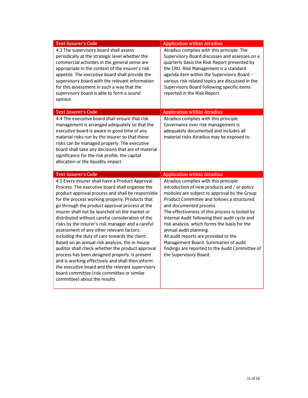| <b>Text Insurer's Code</b>                                                                                                                                                                                                                                                                                                                                                                                                                                                                                                                                                                                                                                                                                                                                                                                                                                            | <b>Application within Atradius</b>                                                                                                                                                                                                                                                                                                                                                                                                                                                                                                                          |
|-----------------------------------------------------------------------------------------------------------------------------------------------------------------------------------------------------------------------------------------------------------------------------------------------------------------------------------------------------------------------------------------------------------------------------------------------------------------------------------------------------------------------------------------------------------------------------------------------------------------------------------------------------------------------------------------------------------------------------------------------------------------------------------------------------------------------------------------------------------------------|-------------------------------------------------------------------------------------------------------------------------------------------------------------------------------------------------------------------------------------------------------------------------------------------------------------------------------------------------------------------------------------------------------------------------------------------------------------------------------------------------------------------------------------------------------------|
| 4.3 The supervisory board shall assess<br>periodically at the strategic level whether the<br>commercial activities in the general sense are<br>appropriate in the context of the insurer's risk<br>appetite. The executive board shall provide the<br>supervisory board with the relevant information<br>for this assessment in such a way that the<br>supervisory board is able to form a sound<br>opinion.                                                                                                                                                                                                                                                                                                                                                                                                                                                          | Atradius complies with this principle. The<br>Supervisory Board discusses and assesses on a<br>quarterly basis the Risk Report presented by<br>the CRO. Risk Management is a standard<br>agenda item within the Supervisory Board -<br>various risk related topics are discussed in the<br>Supervisory Board following specific items<br>reported in the Risk Report.                                                                                                                                                                                       |
| <b>Text Insurer's Code</b>                                                                                                                                                                                                                                                                                                                                                                                                                                                                                                                                                                                                                                                                                                                                                                                                                                            | <b>Application within Atradius</b>                                                                                                                                                                                                                                                                                                                                                                                                                                                                                                                          |
| 4.4 The executive board shall ensure that risk<br>management is arranged adequately so that the<br>executive board is aware in good time of any<br>material risks run by the insurer so that these<br>risks can be managed properly. The executive<br>board shall take any decisions that are of material<br>significance for the risk profile, the capital<br>allocation or the liquidity impact.                                                                                                                                                                                                                                                                                                                                                                                                                                                                    | Atradius complies with this principle.<br>Governance over risk management is<br>adequately documented and includes all<br>material risks Atradius may be exposed to.                                                                                                                                                                                                                                                                                                                                                                                        |
| <b>Text Insurer's Code</b>                                                                                                                                                                                                                                                                                                                                                                                                                                                                                                                                                                                                                                                                                                                                                                                                                                            | <b>Application within Atradius</b>                                                                                                                                                                                                                                                                                                                                                                                                                                                                                                                          |
| 4.5 Every insurer shall have a Product Approval<br>Process. The executive board shall organise the<br>product approval process and shall be responsible<br>for the process working properly. Products that<br>go through the product approval process at the<br>insurer shall not be launched on the market or<br>distributed without careful consideration of the<br>risks by the insurer's risk manager and a careful<br>assessment of any other relevant factors,<br>including the duty of care towards the client.<br>Based on an annual risk analysis, the in-house<br>auditor shall check whether the product approval<br>process has been designed properly, is present<br>and is working effectively and shall then inform<br>the executive board and the relevant supervisory<br>board committee (risk committee or similar<br>committee) about the results. | Atradius complies with this principle.<br>Introduction of new products and / or policy<br>modules are subject to approval by the Group<br>Product Committee and follows a structured<br>and documented process.<br>The effectiveness of this process is tested by<br>Internal Audit following their audit cycle and<br>risk analysis, which forms the basis for the<br>annual audit planning.<br>All audit reports are provided to the<br>Management Board. Summaries of audit<br>findings are reported to the Audit Committee of<br>the Supervisory Board. |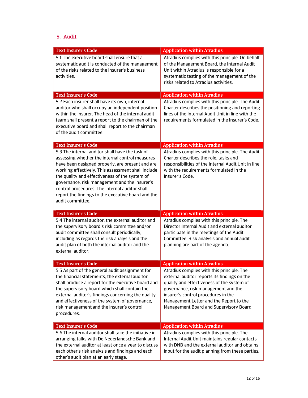#### 5. Audit

| <b>Text Insurer's Code</b>                                                                                                                                                                                                                                                                                                                                                                                                                  | <b>Application within Atradius</b>                                                                                                                                                                                                                                                                           |
|---------------------------------------------------------------------------------------------------------------------------------------------------------------------------------------------------------------------------------------------------------------------------------------------------------------------------------------------------------------------------------------------------------------------------------------------|--------------------------------------------------------------------------------------------------------------------------------------------------------------------------------------------------------------------------------------------------------------------------------------------------------------|
| 5.1 The executive board shall ensure that a<br>systematic audit is conducted of the management<br>of the risks related to the insurer's business<br>activities.                                                                                                                                                                                                                                                                             | Atradius complies with this principle. On behalf<br>of the Management Board, the Internal Audit<br>Unit within Atradius is responsible for a<br>systematic testing of the management of the<br>risks related to Atradius activities.                                                                         |
| <b>Text Insurer's Code</b>                                                                                                                                                                                                                                                                                                                                                                                                                  | <b>Application within Atradius</b>                                                                                                                                                                                                                                                                           |
| 5.2 Each insurer shall have its own, internal<br>auditor who shall occupy an independent position<br>within the insurer. The head of the internal audit<br>team shall present a report to the chairman of the<br>executive board and shall report to the chairman<br>of the audit committee.                                                                                                                                                | Atradius complies with this principle. The Audit<br>Charter describes the positioning and reporting<br>lines of the Internal Audit Unit in line with the<br>requirements formulated in the Insurer's Code.                                                                                                   |
| <b>Text Insurer's Code</b>                                                                                                                                                                                                                                                                                                                                                                                                                  | <b>Application within Atradius</b>                                                                                                                                                                                                                                                                           |
| 5.3 The internal auditor shall have the task of<br>assessing whether the internal control measures<br>have been designed properly, are present and are<br>working effectively. This assessment shall include<br>the quality and effectiveness of the system of<br>governance, risk management and the insurer's<br>control procedures. The internal auditor shall<br>report the findings to the executive board and the<br>audit committee. | Atradius complies with this principle. The Audit<br>Charter describes the role, tasks and<br>responsibilities of the Internal Audit Unit in line<br>with the requirements formulated in the<br>Insurer's Code.                                                                                               |
| <b>Text Insurer's Code</b>                                                                                                                                                                                                                                                                                                                                                                                                                  | <b>Application within Atradius</b>                                                                                                                                                                                                                                                                           |
| 5.4 The internal auditor, the external auditor and<br>the supervisory board's risk committee and/or<br>audit committee shall consult periodically,<br>including as regards the risk analysis and the<br>audit plan of both the internal auditor and the<br>external auditor.                                                                                                                                                                | Atradius complies with this principle. The<br>Director Internal Audit and external auditor<br>participate in the meetings of the Audit<br>Committee. Risk analysis and annual audit<br>planning are part of the agenda.                                                                                      |
| <b>Text Insurer's Code</b>                                                                                                                                                                                                                                                                                                                                                                                                                  | <b>Application within Atradius</b>                                                                                                                                                                                                                                                                           |
| 5.5 As part of the general audit assignment for<br>the financial statements, the external auditor<br>shall produce a report for the executive board and<br>the supervisory board which shall contain the<br>external auditor's findings concerning the quality<br>and effectiveness of the system of governance,<br>risk management and the insurer's control<br>procedures.                                                                | Atradius complies with this principle. The<br>external auditor reports its findings on the<br>quality and effectiveness of the system of<br>governance, risk management and the<br>insurer's control procedures in the<br>Management Letter and the Report to the<br>Management Board and Supervisory Board. |
| <b>Text Insurer's Code</b>                                                                                                                                                                                                                                                                                                                                                                                                                  | <b>Application within Atradius</b>                                                                                                                                                                                                                                                                           |
| 5.6 The internal auditor shall take the initiative in<br>arranging talks with De Nederlandsche Bank and<br>the external auditor at least once a year to discuss<br>each other's risk analysis and findings and each<br>other's audit plan at an early stage.                                                                                                                                                                                | Atradius complies with this principle. The<br>Internal Audit Unit maintains regular contacts<br>with DNB and the external auditor and obtains<br>input for the audit planning from these parties.                                                                                                            |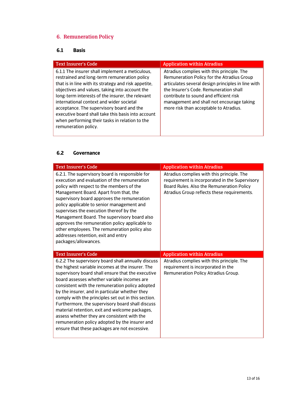# 6. Remuneration Policy

## **6.1 Basis**

| <b>Text Insurer's Code</b>                                                                                                                                                                                                                                                                                                                                                                                                                                                             | <b>Application within Atradius</b>                                                                                                                                                                                                                                                                                        |
|----------------------------------------------------------------------------------------------------------------------------------------------------------------------------------------------------------------------------------------------------------------------------------------------------------------------------------------------------------------------------------------------------------------------------------------------------------------------------------------|---------------------------------------------------------------------------------------------------------------------------------------------------------------------------------------------------------------------------------------------------------------------------------------------------------------------------|
| 6.1.1 The insurer shall implement a meticulous,<br>restrained and long-term remuneration policy<br>that is in line with its strategy and risk appetite,<br>objectives and values, taking into account the<br>long-term interests of the insurer, the relevant<br>international context and wider societal<br>acceptance. The supervisory board and the<br>executive board shall take this basis into account<br>when performing their tasks in relation to the<br>remuneration policy. | Atradius complies with this principle. The<br>Remuneration Policy for the Atradius Group<br>articulates several design principles in line with<br>the Insurer's Code. Remuneration shall<br>contribute to sound and efficient risk<br>management and shall not encourage taking<br>more risk than acceptable to Atradius. |
|                                                                                                                                                                                                                                                                                                                                                                                                                                                                                        |                                                                                                                                                                                                                                                                                                                           |

#### **6.2 Governance**

| <b>Text Insurer's Code</b>                                                                                                                                                                                                                                                                                                                                                                                                                                                                                                                                                                                                     | <b>Application within Atradius</b>                                                                                                                                                       |
|--------------------------------------------------------------------------------------------------------------------------------------------------------------------------------------------------------------------------------------------------------------------------------------------------------------------------------------------------------------------------------------------------------------------------------------------------------------------------------------------------------------------------------------------------------------------------------------------------------------------------------|------------------------------------------------------------------------------------------------------------------------------------------------------------------------------------------|
| 6.2.1. The supervisory board is responsible for<br>execution and evaluation of the remuneration<br>policy with respect to the members of the<br>Management Board. Apart from that, the<br>supervisory board approves the remuneration<br>policy applicable to senior management and<br>supervises the execution thereof by the<br>Management Board. The supervisory board also<br>approves the remuneration policy applicable to<br>other employees. The remuneration policy also<br>addresses retention, exit and entry<br>packages/allowances.                                                                               | Atradius complies with this principle. The<br>requirement is incorporated in the Supervisory<br>Board Rules. Also the Remuneration Policy<br>Atradius Group reflects these requirements. |
| <b>Text Insurer's Code</b>                                                                                                                                                                                                                                                                                                                                                                                                                                                                                                                                                                                                     | <b>Application within Atradius</b>                                                                                                                                                       |
| 6.2.2 The supervisory board shall annually discuss<br>the highest variable incomes at the insurer. The<br>supervisory board shall ensure that the executive<br>board assesses whether variable incomes are<br>consistent with the remuneration policy adopted<br>by the insurer, and in particular whether they<br>comply with the principles set out in this section.<br>Furthermore, the supervisory board shall discuss<br>material retention, exit and welcome packages,<br>assess whether they are consistent with the<br>remuneration policy adopted by the insurer and<br>ensure that these packages are not excessive. | Atradius complies with this principle. The<br>requirement is incorporated in the<br>Remuneration Policy Atradius Group.                                                                  |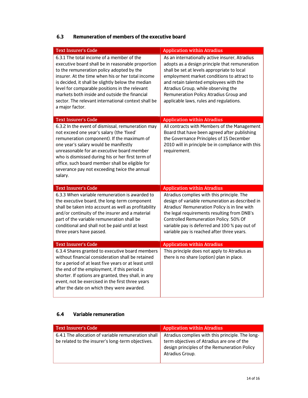|                                                                                                                                                                                                                                                                                                                                                                                                                                    | <b>Application within Atradius</b>                                                                                                                                                                                                                                                                                                                                  |
|------------------------------------------------------------------------------------------------------------------------------------------------------------------------------------------------------------------------------------------------------------------------------------------------------------------------------------------------------------------------------------------------------------------------------------|---------------------------------------------------------------------------------------------------------------------------------------------------------------------------------------------------------------------------------------------------------------------------------------------------------------------------------------------------------------------|
| 6.3.1 The total income of a member of the<br>executive board shall be in reasonable proportion<br>to the remuneration policy adopted by the<br>insurer. At the time when his or her total income<br>is decided, it shall be slightly below the median<br>level for comparable positions in the relevant<br>markets both inside and outside the financial<br>sector. The relevant international context shall be<br>a major factor. | As an internationally active insurer, Atradius<br>adopts as a design principle that remuneration<br>shall be set at levels appropriate to local<br>employment market conditions to attract to<br>and retain talented employees with the<br>Atradius Group, while observing the<br>Remuneration Policy Atradius Group and<br>applicable laws, rules and regulations. |
| <b>Text Insurer's Code</b>                                                                                                                                                                                                                                                                                                                                                                                                         | <b>Application within Atradius</b>                                                                                                                                                                                                                                                                                                                                  |
| 6.3.2 In the event of dismissal, remuneration may<br>not exceed one year's salary (the 'fixed'<br>remuneration component). If the maximum of<br>one year's salary would be manifestly<br>unreasonable for an executive board member<br>who is dismissed during his or her first term of<br>office, such board member shall be eligible for<br>severance pay not exceeding twice the annual<br>salary.                              | All contracts with Members of the Management<br>Board that have been agreed after publishing<br>the Governance Principles of 15 December<br>2010 will in principle be in compliance with this<br>requirement.                                                                                                                                                       |
| <b>Text Insurer's Code</b>                                                                                                                                                                                                                                                                                                                                                                                                         | <b>Application within Atradius</b>                                                                                                                                                                                                                                                                                                                                  |
|                                                                                                                                                                                                                                                                                                                                                                                                                                    |                                                                                                                                                                                                                                                                                                                                                                     |
| 6.3.3 When variable remuneration is awarded to<br>the executive board, the long-term component<br>shall be taken into account as well as profitability<br>and/or continuity of the insurer and a material<br>part of the variable remuneration shall be<br>conditional and shall not be paid until at least<br>three years have passed.                                                                                            | Atradius complies with this principle. The<br>design of variable remuneration as described in<br>Atradius' Remuneration Policy is in line with<br>the legal requirements resulting from DNB's<br>Controlled Remuneration Policy. 50% Of<br>variable pay is deferred and 100 % pay out of<br>variable pay is reached after three years.                              |
| <b>Text Insurer's Code</b><br>6.3.4 Shares granted to executive board members                                                                                                                                                                                                                                                                                                                                                      | <b>Application within Atradius</b><br>This principle does not apply to Atradius as                                                                                                                                                                                                                                                                                  |

# **6.3 Remuneration of members of the executive board**

#### **6.4 Variable remuneration**

| <b>Text Insurer's Code</b>                                                                               | <b>Application within Atradius</b>                                                                                                                                |
|----------------------------------------------------------------------------------------------------------|-------------------------------------------------------------------------------------------------------------------------------------------------------------------|
| 6.4.1 The allocation of variable remuneration shall<br>be related to the insurer's long-term objectives. | Atradius complies with this principle. The long-<br>term objectives of Atradius are one of the<br>design principles of the Remuneration Policy<br>Atradius Group. |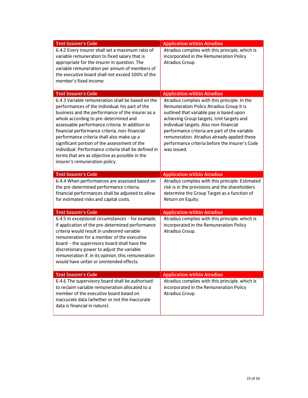| <b>Text Insurer's Code</b>                                                                                                                                                                                                                                                                                                                                                                                                                                                                                                                     | <b>Application within Atradius</b>                                                                                                                                                                                                                                                                                                                                                             |
|------------------------------------------------------------------------------------------------------------------------------------------------------------------------------------------------------------------------------------------------------------------------------------------------------------------------------------------------------------------------------------------------------------------------------------------------------------------------------------------------------------------------------------------------|------------------------------------------------------------------------------------------------------------------------------------------------------------------------------------------------------------------------------------------------------------------------------------------------------------------------------------------------------------------------------------------------|
| 6.4.2 Every insurer shall set a maximum ratio of<br>variable remuneration to fixed salary that is<br>appropriate for the insurer in question. The<br>variable remuneration per annum of members of<br>the executive board shall not exceed 100% of the<br>member's fixed income.                                                                                                                                                                                                                                                               | Atradius complies with this principle, which is<br>incorporated in the Remuneration Policy<br>Atradius Group.                                                                                                                                                                                                                                                                                  |
| <b>Text Insurer's Code</b>                                                                                                                                                                                                                                                                                                                                                                                                                                                                                                                     | <b>Application within Atradius</b>                                                                                                                                                                                                                                                                                                                                                             |
| 6.4.3 Variable remuneration shall be based on the<br>performances of the individual, his part of the<br>business and the performance of the insurer as a<br>whole according to pre-determined and<br>assessable performance criteria. In addition to<br>financial performance criteria, non-financial<br>performance criteria shall also make up a<br>significant portion of the assessment of the<br>individual. Performance criteria shall be defined in<br>terms that are as objective as possible in the<br>insurer's remuneration policy. | Atradius complies with this principle. In the<br>Remuneration Policy Atradius Group it is<br>outlined that variable pay is based upon<br>achieving Group targets, Unit targets and<br>individual targets. Also non-financial<br>performance criteria are part of the variable<br>remuneration. Atradius already applied these<br>performance criteria before the Insurer's Code<br>was issued. |
| <b>Text Insurer's Code</b>                                                                                                                                                                                                                                                                                                                                                                                                                                                                                                                     | <b>Application within Atradius</b>                                                                                                                                                                                                                                                                                                                                                             |
| 6.4.4 When performances are assessed based on<br>the pre-determined performance criteria,<br>financial performances shall be adjusted to allow<br>for estimated risks and capital costs.                                                                                                                                                                                                                                                                                                                                                       | Atradius complies with this principle. Estimated<br>risk is in the provisions and the shareholders<br>determine the Group Target as a function of<br>Return on Equity.                                                                                                                                                                                                                         |
| <b>Text Insurer's Code</b>                                                                                                                                                                                                                                                                                                                                                                                                                                                                                                                     | <b>Application within Atradius</b>                                                                                                                                                                                                                                                                                                                                                             |
| 6.4.5 In exceptional circumstances - for example,<br>if application of the pre-determined performance<br>criteria would result in undesired variable<br>remuneration for a member of the executive<br>board - the supervisory board shall have the<br>discretionary power to adjust the variable<br>remuneration if, in its opinion, this remuneration<br>would have unfair or unintended effects.                                                                                                                                             | Atradius complies with this principle, which is<br>incorporated in the Remuneration Policy<br>Atradius Group.                                                                                                                                                                                                                                                                                  |
| <b>Text Insurer's Code</b>                                                                                                                                                                                                                                                                                                                                                                                                                                                                                                                     | <b>Application within Atradius</b>                                                                                                                                                                                                                                                                                                                                                             |
| 6.4.6 The supervisory board shall be authorised<br>to reclaim variable remuneration allocated to a<br>member of the executive board based on<br>inaccurate data (whether or not the inaccurate<br>data is financial in nature).                                                                                                                                                                                                                                                                                                                | Atradius complies with this principle, which is<br>incorporated in the Remuneration Policy<br>Atradius Group.                                                                                                                                                                                                                                                                                  |